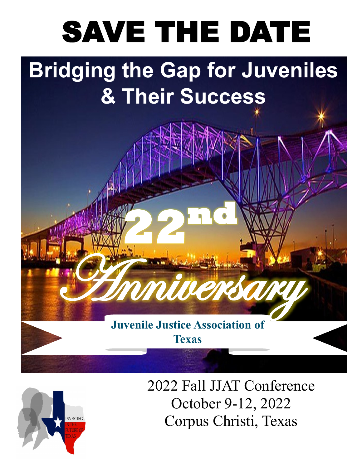# SAVE THE DATE

## **Bridging the Gap for Juveniles & Their Success**

**Juvenile Justice Association of Texas**

**Anniversary** 

**22nd**



2022 Fall JJAT Conference October 9-12, 2022 Corpus Christi, Texas

**1**